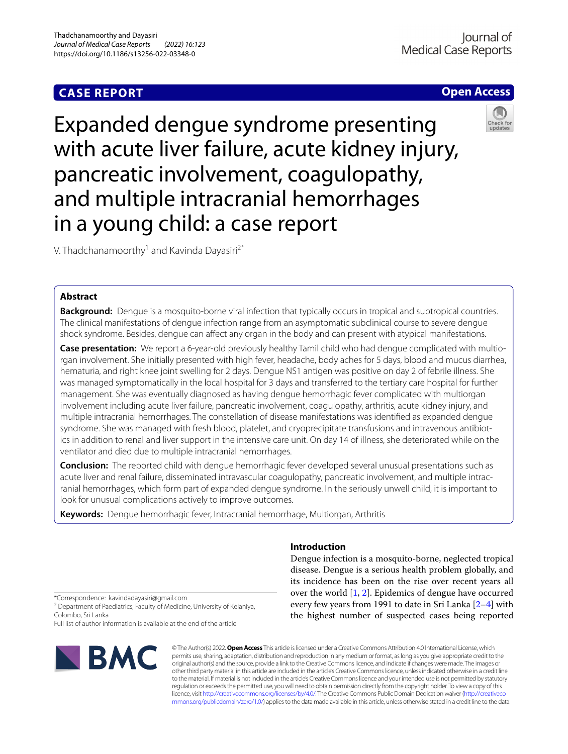# **CASE REPORT**



Expanded dengue syndrome presenting with acute liver failure, acute kidney injury, pancreatic involvement, coagulopathy, and multiple intracranial hemorrhages in a young child: a case report



V. Thadchanamoorthy<sup>1</sup> and Kavinda Dayasiri<sup>2\*</sup>

# **Abstract**

**Background:** Dengue is a mosquito-borne viral infection that typically occurs in tropical and subtropical countries. The clinical manifestations of dengue infection range from an asymptomatic subclinical course to severe dengue shock syndrome. Besides, dengue can affect any organ in the body and can present with atypical manifestations.

**Case presentation:** We report a 6-year-old previously healthy Tamil child who had dengue complicated with multiorgan involvement. She initially presented with high fever, headache, body aches for 5 days, blood and mucus diarrhea, hematuria, and right knee joint swelling for 2 days. Dengue NS1 antigen was positive on day 2 of febrile illness. She was managed symptomatically in the local hospital for 3 days and transferred to the tertiary care hospital for further management. She was eventually diagnosed as having dengue hemorrhagic fever complicated with multiorgan involvement including acute liver failure, pancreatic involvement, coagulopathy, arthritis, acute kidney injury, and multiple intracranial hemorrhages. The constellation of disease manifestations was identifed as expanded dengue syndrome. She was managed with fresh blood, platelet, and cryoprecipitate transfusions and intravenous antibiotics in addition to renal and liver support in the intensive care unit. On day 14 of illness, she deteriorated while on the ventilator and died due to multiple intracranial hemorrhages.

**Conclusion:** The reported child with dengue hemorrhagic fever developed several unusual presentations such as acute liver and renal failure, disseminated intravascular coagulopathy, pancreatic involvement, and multiple intracranial hemorrhages, which form part of expanded dengue syndrome. In the seriously unwell child, it is important to look for unusual complications actively to improve outcomes.

**Keywords:** Dengue hemorrhagic fever, Intracranial hemorrhage, Multiorgan, Arthritis

# **Introduction**

Dengue infection is a mosquito-borne, neglected tropical disease. Dengue is a serious health problem globally, and its incidence has been on the rise over recent years all over the world [\[1](#page-4-0), [2\]](#page-4-1). Epidemics of dengue have occurred every few years from 1991 to date in Sri Lanka [\[2–](#page-4-1)[4\]](#page-4-2) with the highest number of suspected cases being reported

\*Correspondence: kavindadayasiri@gmail.com

<sup>2</sup> Department of Paediatrics, Faculty of Medicine, University of Kelaniya, Colombo, Sri Lanka

Full list of author information is available at the end of the article



© The Author(s) 2022. **Open Access** This article is licensed under a Creative Commons Attribution 4.0 International License, which permits use, sharing, adaptation, distribution and reproduction in any medium or format, as long as you give appropriate credit to the original author(s) and the source, provide a link to the Creative Commons licence, and indicate if changes were made. The images or other third party material in this article are included in the article's Creative Commons licence, unless indicated otherwise in a credit line to the material. If material is not included in the article's Creative Commons licence and your intended use is not permitted by statutory regulation or exceeds the permitted use, you will need to obtain permission directly from the copyright holder. To view a copy of this licence, visit [http://creativecommons.org/licenses/by/4.0/.](http://creativecommons.org/licenses/by/4.0/) The Creative Commons Public Domain Dedication waiver ([http://creativeco](http://creativecommons.org/publicdomain/zero/1.0/) [mmons.org/publicdomain/zero/1.0/](http://creativecommons.org/publicdomain/zero/1.0/)) applies to the data made available in this article, unless otherwise stated in a credit line to the data.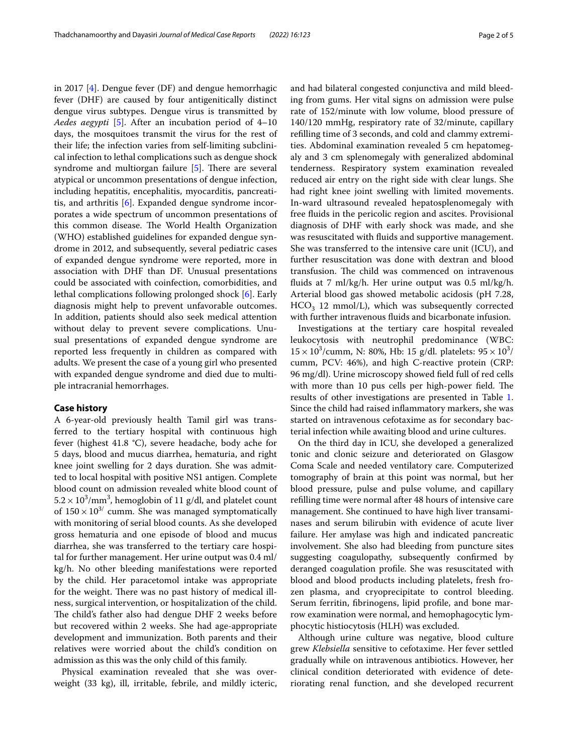in 2017 [[4\]](#page-4-2). Dengue fever (DF) and dengue hemorrhagic fever (DHF) are caused by four antigenitically distinct dengue virus subtypes. Dengue virus is transmitted by *Aedes aegypti* [\[5\]](#page-4-3). After an incubation period of 4–10 days, the mosquitoes transmit the virus for the rest of their life; the infection varies from self-limiting subclinical infection to lethal complications such as dengue shock syndrome and multiorgan failure  $[5]$  $[5]$ . There are several atypical or uncommon presentations of dengue infection, including hepatitis, encephalitis, myocarditis, pancreatitis, and arthritis [[6\]](#page-4-4). Expanded dengue syndrome incorporates a wide spectrum of uncommon presentations of this common disease. The World Health Organization (WHO) established guidelines for expanded dengue syndrome in 2012, and subsequently, several pediatric cases of expanded dengue syndrome were reported, more in association with DHF than DF. Unusual presentations could be associated with coinfection, comorbidities, and lethal complications following prolonged shock [[6\]](#page-4-4). Early diagnosis might help to prevent unfavorable outcomes. In addition, patients should also seek medical attention without delay to prevent severe complications. Unusual presentations of expanded dengue syndrome are reported less frequently in children as compared with adults. We present the case of a young girl who presented with expanded dengue syndrome and died due to multiple intracranial hemorrhages.

# **Case history**

A 6-year-old previously health Tamil girl was transferred to the tertiary hospital with continuous high fever (highest 41.8 °C), severe headache, body ache for 5 days, blood and mucus diarrhea, hematuria, and right knee joint swelling for 2 days duration. She was admitted to local hospital with positive NS1 antigen. Complete blood count on admission revealed white blood count of  $5.2 \times 10^3/\text{mm}^3$ , hemoglobin of 11 g/dl, and platelet count of  $150 \times 10^{3/}$  cumm. She was managed symptomatically with monitoring of serial blood counts. As she developed gross hematuria and one episode of blood and mucus diarrhea, she was transferred to the tertiary care hospital for further management. Her urine output was 0.4 ml/ kg/h. No other bleeding manifestations were reported by the child. Her paracetomol intake was appropriate for the weight. There was no past history of medical illness, surgical intervention, or hospitalization of the child. The child's father also had dengue DHF 2 weeks before but recovered within 2 weeks. She had age-appropriate development and immunization. Both parents and their relatives were worried about the child's condition on admission as this was the only child of this family.

Physical examination revealed that she was overweight (33 kg), ill, irritable, febrile, and mildly icteric, and had bilateral congested conjunctiva and mild bleeding from gums. Her vital signs on admission were pulse rate of 152/minute with low volume, blood pressure of 140/120 mmHg, respiratory rate of 32/minute, capillary reflling time of 3 seconds, and cold and clammy extremities. Abdominal examination revealed 5 cm hepatomegaly and 3 cm splenomegaly with generalized abdominal tenderness. Respiratory system examination revealed reduced air entry on the right side with clear lungs. She had right knee joint swelling with limited movements. In-ward ultrasound revealed hepatosplenomegaly with free fuids in the pericolic region and ascites. Provisional diagnosis of DHF with early shock was made, and she was resuscitated with fuids and supportive management. She was transferred to the intensive care unit (ICU), and further resuscitation was done with dextran and blood transfusion. The child was commenced on intravenous fuids at 7 ml/kg/h. Her urine output was 0.5 ml/kg/h. Arterial blood gas showed metabolic acidosis (pH 7.28,  $HCO<sub>3</sub>$  12 mmol/L), which was subsequently corrected with further intravenous fluids and bicarbonate infusion.

Investigations at the tertiary care hospital revealed leukocytosis with neutrophil predominance (WBC:  $15 \times 10^3$ /cumm, N: 80%, Hb: 15 g/dl. platelets:  $95 \times 10^3$ / cumm, PCV: 46%), and high C-reactive protein (CRP: 96 mg/dl). Urine microscopy showed feld full of red cells with more than 10 pus cells per high-power field. The results of other investigations are presented in Table [1](#page-2-0). Since the child had raised infammatory markers, she was started on intravenous cefotaxime as for secondary bacterial infection while awaiting blood and urine cultures.

On the third day in ICU, she developed a generalized tonic and clonic seizure and deteriorated on Glasgow Coma Scale and needed ventilatory care. Computerized tomography of brain at this point was normal, but her blood pressure, pulse and pulse volume, and capillary reflling time were normal after 48 hours of intensive care management. She continued to have high liver transaminases and serum bilirubin with evidence of acute liver failure. Her amylase was high and indicated pancreatic involvement. She also had bleeding from puncture sites suggesting coagulopathy, subsequently confrmed by deranged coagulation profle. She was resuscitated with blood and blood products including platelets, fresh frozen plasma, and cryoprecipitate to control bleeding. Serum ferritin, fbrinogens, lipid profle, and bone marrow examination were normal, and hemophagocytic lymphocytic histiocytosis (HLH) was excluded.

Although urine culture was negative, blood culture grew *Klebsiella* sensitive to cefotaxime. Her fever settled gradually while on intravenous antibiotics. However, her clinical condition deteriorated with evidence of deteriorating renal function, and she developed recurrent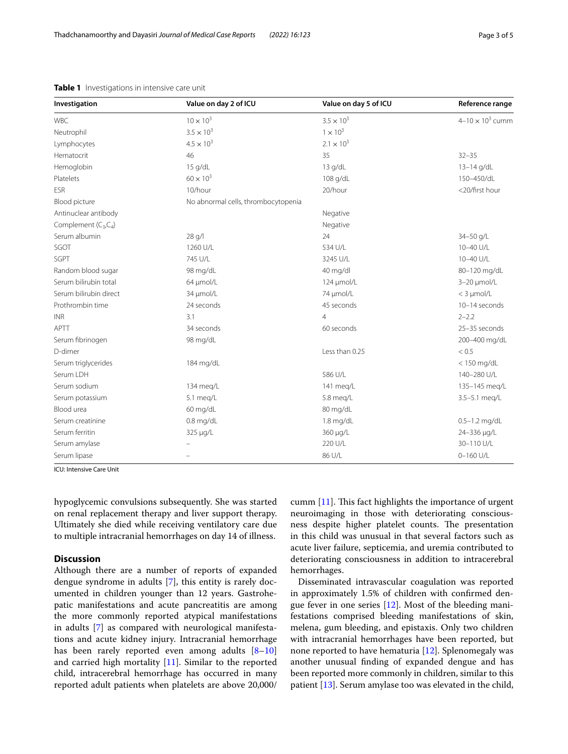| Investigation          | Value on day 2 of ICU               | Value on day 5 of ICU | Reference range           |
|------------------------|-------------------------------------|-----------------------|---------------------------|
| <b>WBC</b>             | $10 \times 10^{3}$                  | $3.5 \times 10^{3}$   | $4 - 10 \times 10^3$ cumm |
| Neutrophil             | $3.5 \times 10^{3}$                 | $1 \times 10^3$       |                           |
| Lymphocytes            | $4.5 \times 10^{3}$                 | $2.1 \times 10^{3}$   |                           |
| Hematocrit             | 46                                  | 35                    | $32 - 35$                 |
| Hemoglobin             | 15 g/dL                             | 13 g/dL               | 13-14 g/dL                |
| Platelets              | $60 \times 10^{3}$                  | 108 g/dL              | 150-450/dL                |
| <b>ESR</b>             | 10/hour                             | 20/hour               | <20/first hour            |
| Blood picture          | No abnormal cells, thrombocytopenia |                       |                           |
| Antinuclear antibody   |                                     | Negative              |                           |
| Complement (C3,C4)     |                                     | Negative              |                           |
| Serum albumin          | 28 g/l                              | 24                    | 34-50 g/L                 |
| SGOT                   | 1260 U/L                            | 534 U/L               | 10-40 U/L                 |
| SGPT                   | 745 U/L                             | 3245 U/L              | 10-40 U/L                 |
| Random blood sugar     | 98 mg/dL                            | 40 mg/dl              | 80-120 mg/dL              |
| Serum bilirubin total  | 64 µmol/L                           | 124 µmol/L            | $3-20 \mu$ mol/L          |
| Serum bilirubin direct | 34 µmol/L                           | 74 µmol/L             | $<$ 3 $\mu$ mol/L         |
| Prothrombin time       | 24 seconds                          | 45 seconds            | 10-14 seconds             |
| <b>INR</b>             | 3.1                                 | $\overline{4}$        | $2 - 2.2$                 |
| <b>APTT</b>            | 34 seconds                          | 60 seconds            | 25-35 seconds             |
| Serum fibrinogen       | 98 mg/dL                            |                       | 200-400 mg/dL             |
| D-dimer                |                                     | Less than 0.25        | < 0.5                     |
| Serum triglycerides    | 184 mg/dL                           |                       | $<$ 150 mg/dL             |
| Serum LDH              |                                     | 586 U/L               | 140-280 U/L               |
| Serum sodium           | 134 meg/L                           | 141 meg/L             | 135-145 meg/L             |
| Serum potassium        | 5.1 meg/L                           | 5.8 meg/L             | 3.5-5.1 meg/L             |
| Blood urea             | 60 mg/dL                            | 80 mg/dL              |                           |
| Serum creatinine       | $0.8$ mg/dL                         | 1.8 mg/dL             | $0.5 - 1.2$ mg/dL         |
| Serum ferritin         | 325 µg/L                            | 360 µg/L              | 24-336 µg/L               |
| Serum amylase          |                                     | 220 U/L               | 30-110 U/L                |
| Serum lipase           |                                     | 86 U/L                | $0 - 160$ U/L             |

# <span id="page-2-0"></span>**Table 1** Investigations in intensive care unit

ICU: Intensive Care Unit

hypoglycemic convulsions subsequently. She was started on renal replacement therapy and liver support therapy. Ultimately she died while receiving ventilatory care due to multiple intracranial hemorrhages on day 14 of illness.

# **Discussion**

Although there are a number of reports of expanded dengue syndrome in adults [[7\]](#page-4-5), this entity is rarely documented in children younger than 12 years. Gastrohepatic manifestations and acute pancreatitis are among the more commonly reported atypical manifestations in adults [[7\]](#page-4-5) as compared with neurological manifestations and acute kidney injury. Intracranial hemorrhage has been rarely reported even among adults  $[8-10]$  $[8-10]$  $[8-10]$ and carried high mortality [[11](#page-4-8)]. Similar to the reported child, intracerebral hemorrhage has occurred in many reported adult patients when platelets are above 20,000/ cumm  $[11]$  $[11]$ . This fact highlights the importance of urgent neuroimaging in those with deteriorating consciousness despite higher platelet counts. The presentation in this child was unusual in that several factors such as acute liver failure, septicemia, and uremia contributed to deteriorating consciousness in addition to intracerebral hemorrhages.

Disseminated intravascular coagulation was reported in approximately 1.5% of children with confrmed dengue fever in one series  $[12]$  $[12]$ . Most of the bleeding manifestations comprised bleeding manifestations of skin, melena, gum bleeding, and epistaxis. Only two children with intracranial hemorrhages have been reported, but none reported to have hematuria [[12\]](#page-4-9). Splenomegaly was another unusual fnding of expanded dengue and has been reported more commonly in children, similar to this patient [[13\]](#page-4-10). Serum amylase too was elevated in the child,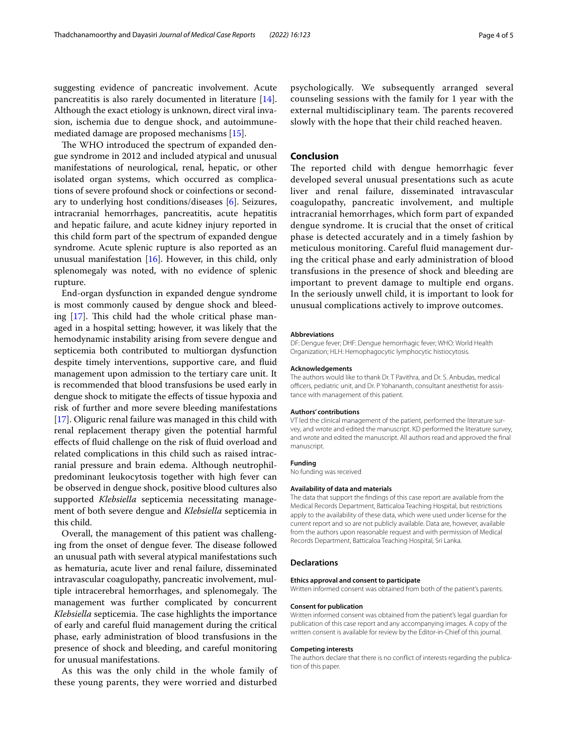suggesting evidence of pancreatic involvement. Acute pancreatitis is also rarely documented in literature [\[14](#page-4-11)]. Although the exact etiology is unknown, direct viral invasion, ischemia due to dengue shock, and autoimmunemediated damage are proposed mechanisms [\[15](#page-4-12)].

The WHO introduced the spectrum of expanded dengue syndrome in 2012 and included atypical and unusual manifestations of neurological, renal, hepatic, or other isolated organ systems, which occurred as complications of severe profound shock or coinfections or secondary to underlying host conditions/diseases [\[6](#page-4-4)]. Seizures, intracranial hemorrhages, pancreatitis, acute hepatitis and hepatic failure, and acute kidney injury reported in this child form part of the spectrum of expanded dengue syndrome. Acute splenic rupture is also reported as an unusual manifestation [\[16](#page-4-13)]. However, in this child, only splenomegaly was noted, with no evidence of splenic rupture.

End-organ dysfunction in expanded dengue syndrome is most commonly caused by dengue shock and bleed-ing [[17\]](#page-4-14). This child had the whole critical phase managed in a hospital setting; however, it was likely that the hemodynamic instability arising from severe dengue and septicemia both contributed to multiorgan dysfunction despite timely interventions, supportive care, and fuid management upon admission to the tertiary care unit. It is recommended that blood transfusions be used early in dengue shock to mitigate the efects of tissue hypoxia and risk of further and more severe bleeding manifestations [[17\]](#page-4-14). Oliguric renal failure was managed in this child with renal replacement therapy given the potential harmful efects of fuid challenge on the risk of fuid overload and related complications in this child such as raised intracranial pressure and brain edema. Although neutrophilpredominant leukocytosis together with high fever can be observed in dengue shock, positive blood cultures also supported *Klebsiella* septicemia necessitating management of both severe dengue and *Klebsiella* septicemia in this child.

Overall, the management of this patient was challenging from the onset of dengue fever. The disease followed an unusual path with several atypical manifestations such as hematuria, acute liver and renal failure, disseminated intravascular coagulopathy, pancreatic involvement, multiple intracerebral hemorrhages, and splenomegaly. The management was further complicated by concurrent *Klebsiella* septicemia. The case highlights the importance of early and careful fuid management during the critical phase, early administration of blood transfusions in the presence of shock and bleeding, and careful monitoring for unusual manifestations.

As this was the only child in the whole family of these young parents, they were worried and disturbed psychologically. We subsequently arranged several counseling sessions with the family for 1 year with the external multidisciplinary team. The parents recovered slowly with the hope that their child reached heaven.

# **Conclusion**

The reported child with dengue hemorrhagic fever developed several unusual presentations such as acute liver and renal failure, disseminated intravascular coagulopathy, pancreatic involvement, and multiple intracranial hemorrhages, which form part of expanded dengue syndrome. It is crucial that the onset of critical phase is detected accurately and in a timely fashion by meticulous monitoring. Careful fuid management during the critical phase and early administration of blood transfusions in the presence of shock and bleeding are important to prevent damage to multiple end organs. In the seriously unwell child, it is important to look for unusual complications actively to improve outcomes.

#### **Abbreviations**

DF: Dengue fever; DHF: Dengue hemorrhagic fever; WHO: World Health Organization; HLH: Hemophagocytic lymphocytic histiocytosis.

#### **Acknowledgements**

The authors would like to thank Dr. T Pavithra, and Dr. S. Anbudas, medical officers, pediatric unit, and Dr. P Yohananth, consultant anesthetist for assistance with management of this patient.

#### **Authors' contributions**

VT led the clinical management of the patient, performed the literature survey, and wrote and edited the manuscript. KD performed the literature survey, and wrote and edited the manuscript. All authors read and approved the fnal manuscript.

#### **Funding**

No funding was received

#### **Availability of data and materials**

The data that support the fndings of this case report are available from the Medical Records Department, Batticaloa Teaching Hospital, but restrictions apply to the availability of these data, which were used under license for the current report and so are not publicly available. Data are, however, available from the authors upon reasonable request and with permission of Medical Records Department, Batticaloa Teaching Hospital, Sri Lanka.

# **Declarations**

#### **Ethics approval and consent to participate**

Written informed consent was obtained from both of the patient's parents.

#### **Consent for publication**

Written informed consent was obtained from the patient's legal guardian for publication of this case report and any accompanying images. A copy of the written consent is available for review by the Editor-in-Chief of this journal.

#### **Competing interests**

The authors declare that there is no confict of interests regarding the publication of this paper.